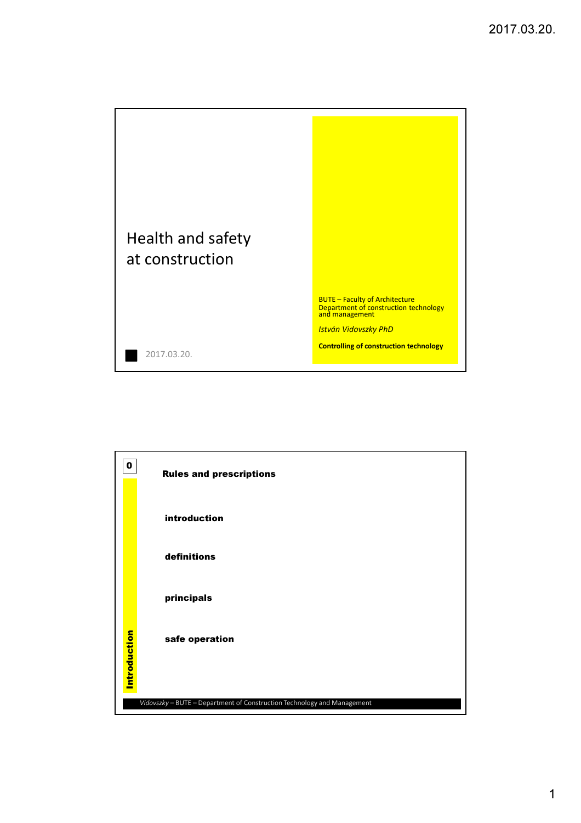



1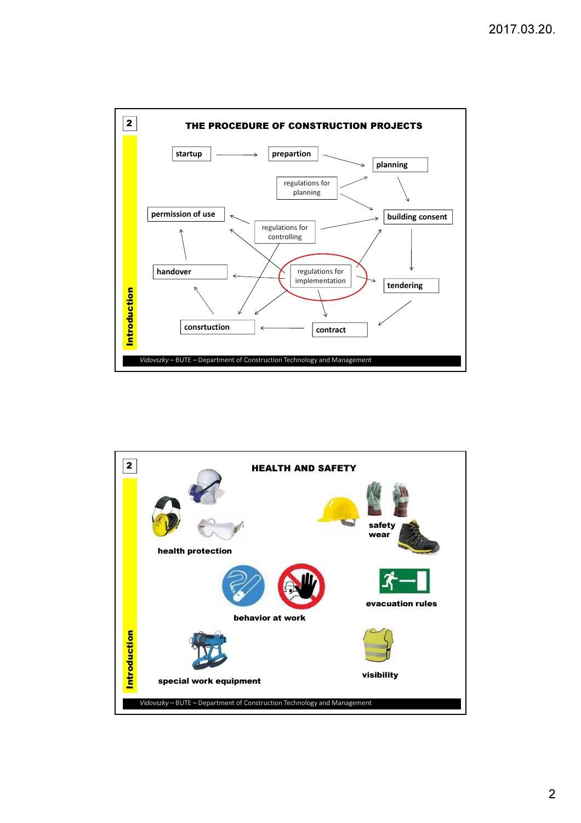

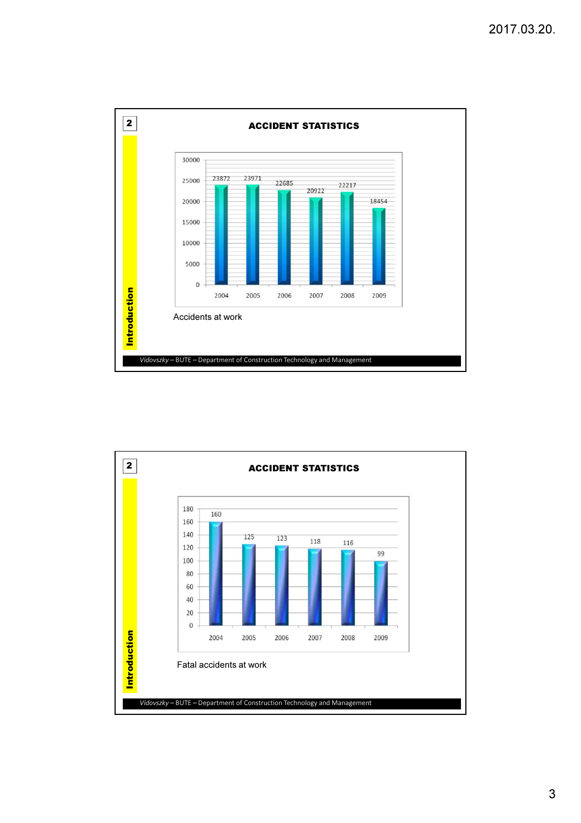

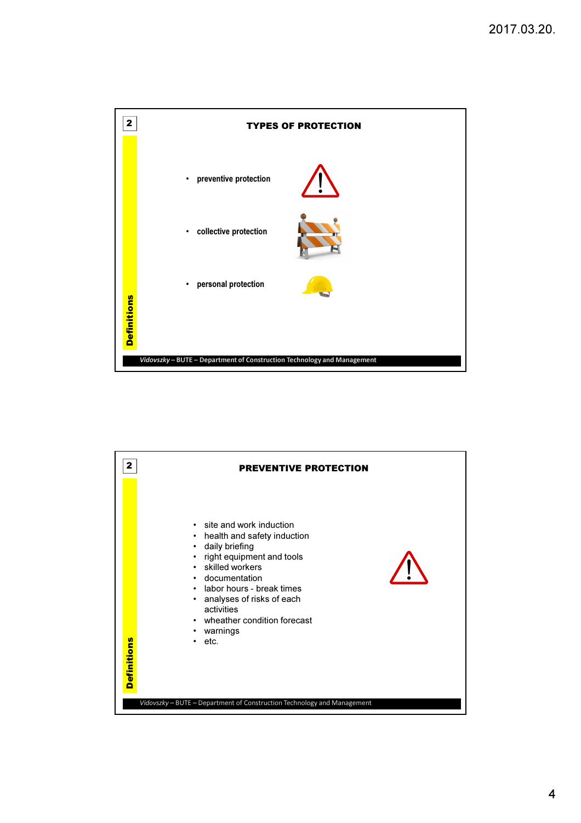

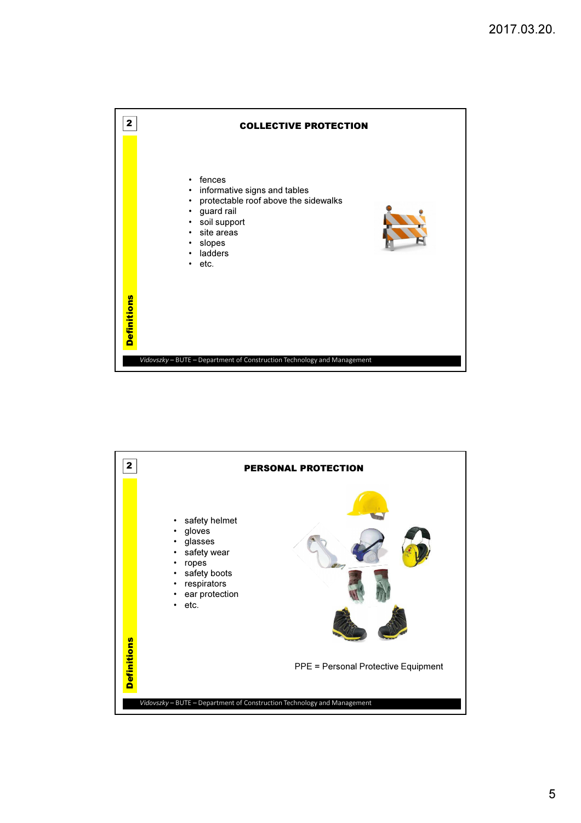



5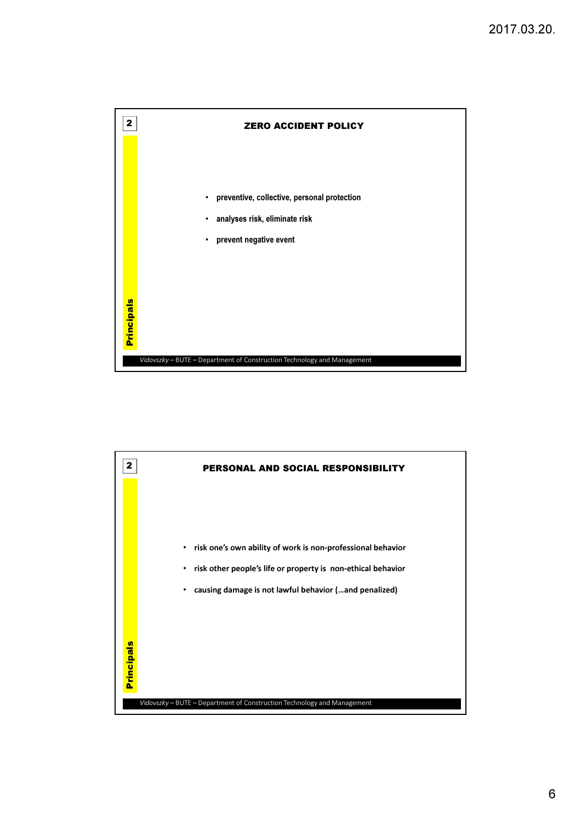

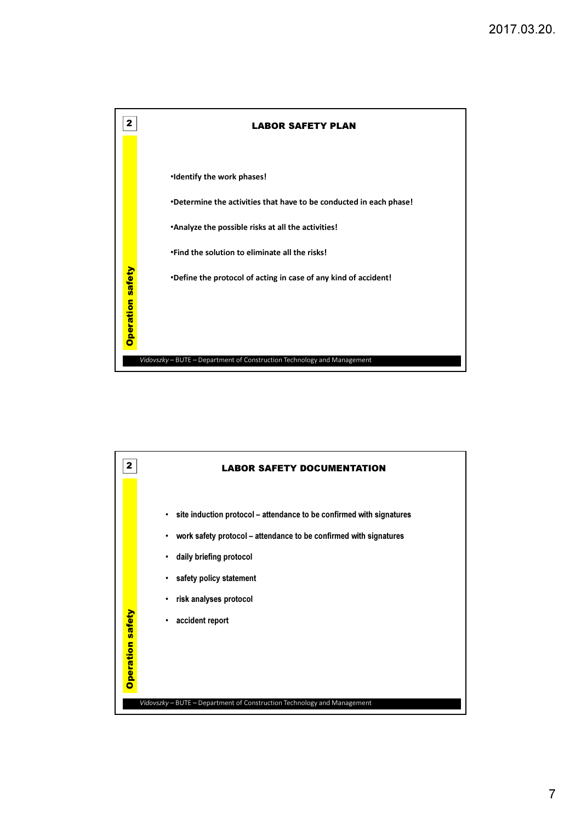

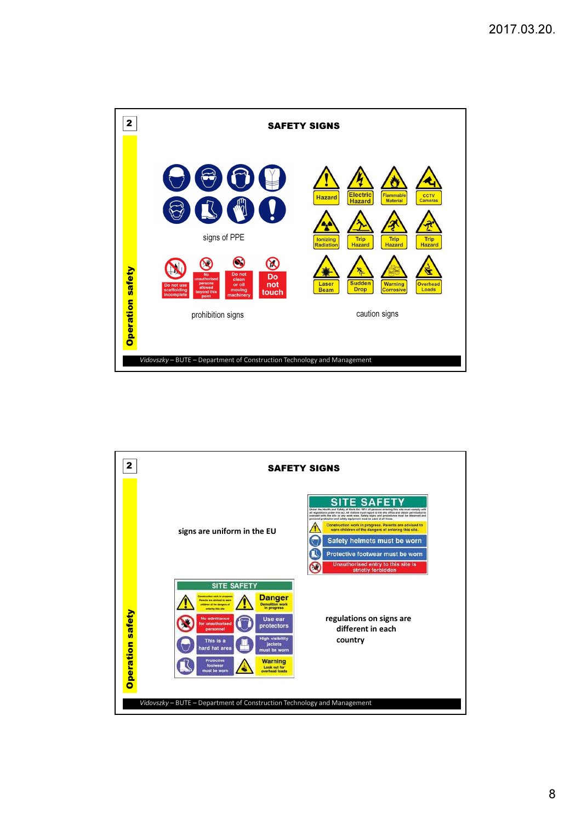

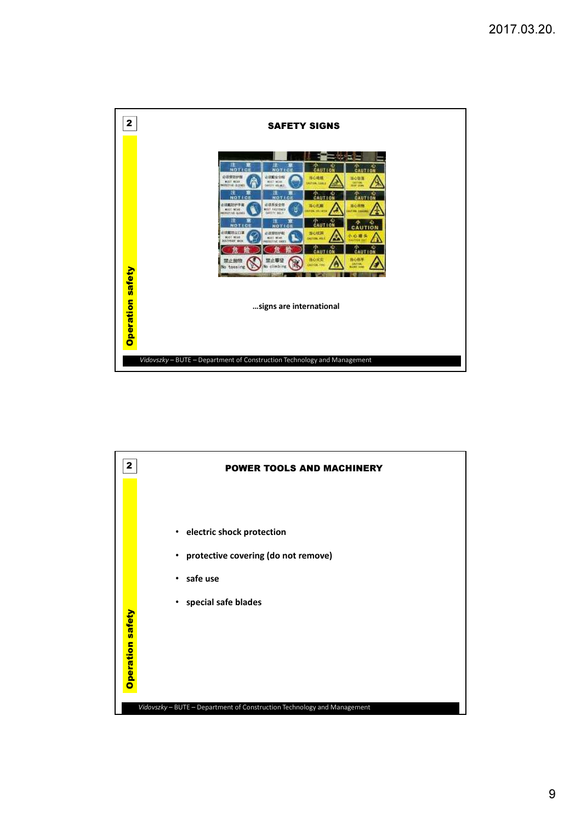

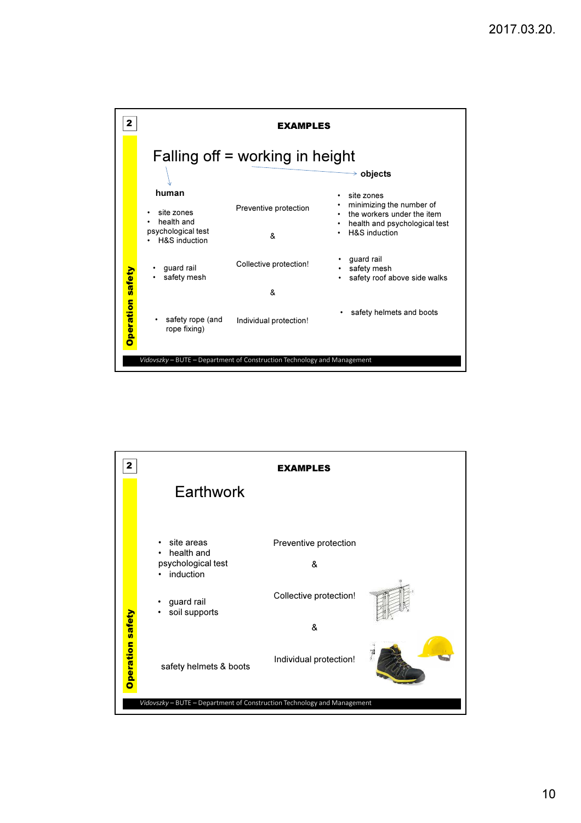



10